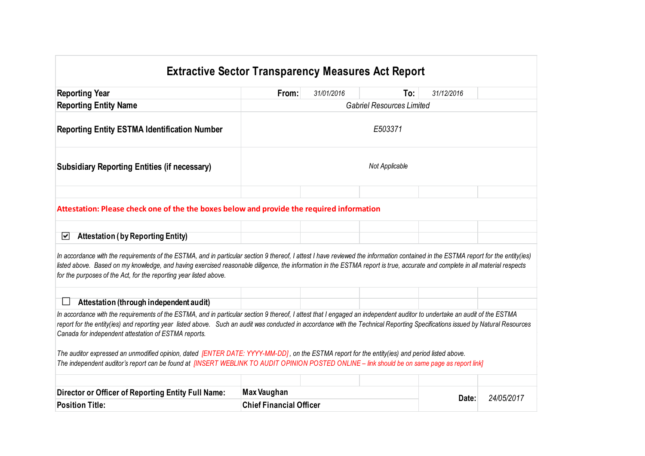## **Extractive Sector Transparency Measures Act Report Reporting Year From:** *31/01/2016* **To:** *31/12/2016* **Reporting Entity Name** *Gabriel Resources Limited* **Reporting Entity ESTMA Identification Number** *E503371* **Subsidiary Reporting Entities (if necessary)** *Not Applicable* **Attestation: Please check one of the the boxes below and provide the required information Attestation ( by Reporting Entity)** ا⊽ا *In accordance with the requirements of the ESTMA, and in particular section 9 thereof, I attest I have reviewed the information contained in the ESTMA report for the entity(ies) listed above. Based on my knowledge, and having exercised reasonable diligence, the information in the ESTMA report is true, accurate and complete in all material respects for the purposes of the Act, for the reporting year listed above.*  **Attestation (through independent audit)** $\Box$ *In accordance with the requirements of the ESTMA, and in particular section 9 thereof, I attest that I engaged an independent auditor to undertake an audit of the ESTMA report for the entity(ies) and reporting year listed above. Such an audit was conducted in accordance with the Technical Reporting Specifications issued by Natural Resources Canada for independent attestation of ESTMA reports. The auditor expressed an unmodified opinion, dated [ENTER DATE: YYYY-MM-DD] , on the ESTMA report for the entity(ies) and period listed above. The independent auditor's report can be found at [INSERT WEBLINK TO AUDIT OPINION POSTED ONLINE – link should be on same page as report link]*

| Director or Officer of Reporting Entity Full Name: | Max Vaughan                    |  | Date: | 24/05/2011 |
|----------------------------------------------------|--------------------------------|--|-------|------------|
| <b>Position Title:</b>                             | <b>Chief Financial Officer</b> |  |       |            |